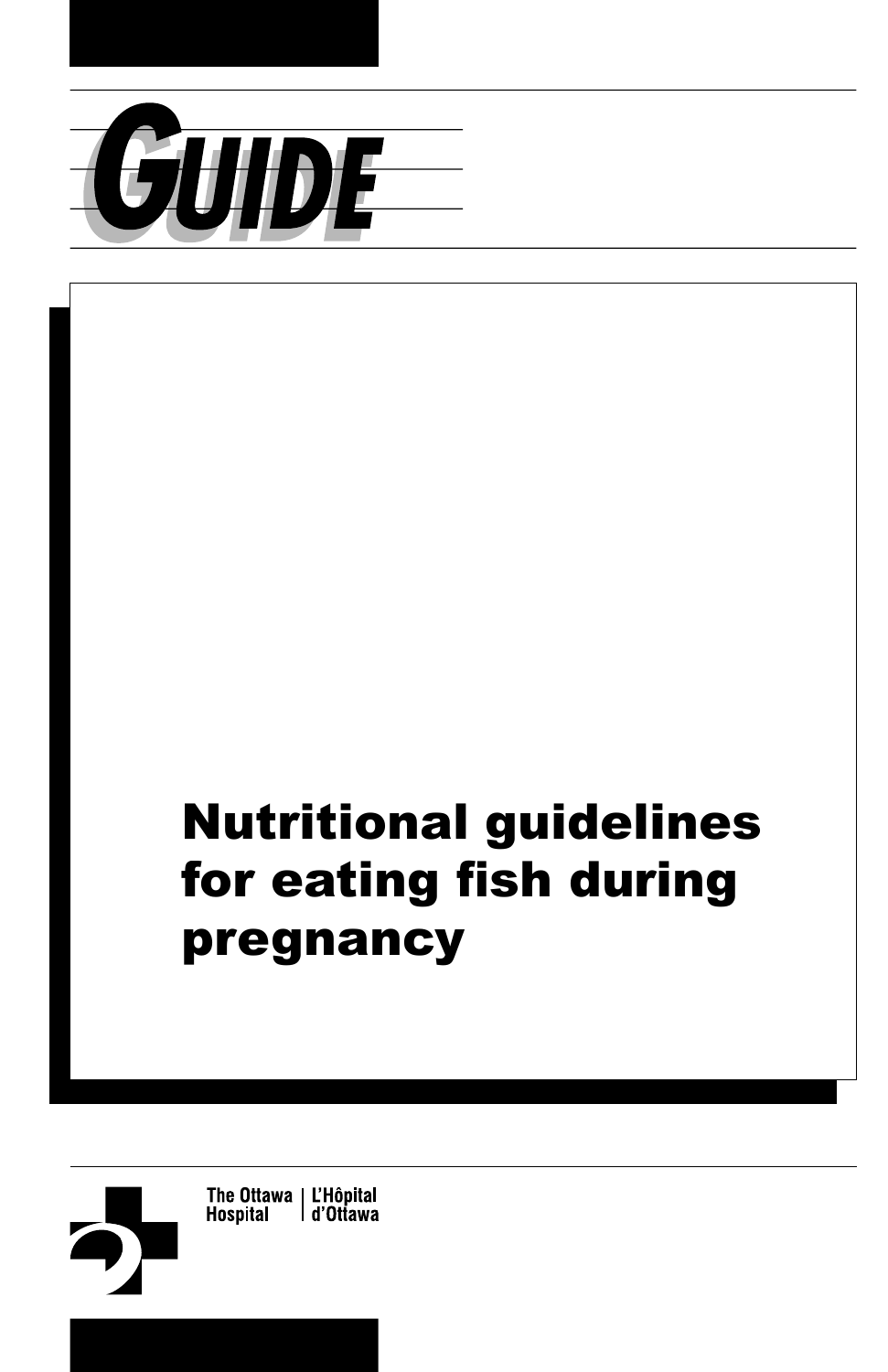

# Nutritional guidelines for eating fish during pregnancy

The Ottawa | L'Hôpital **Hospital** d'Ottawa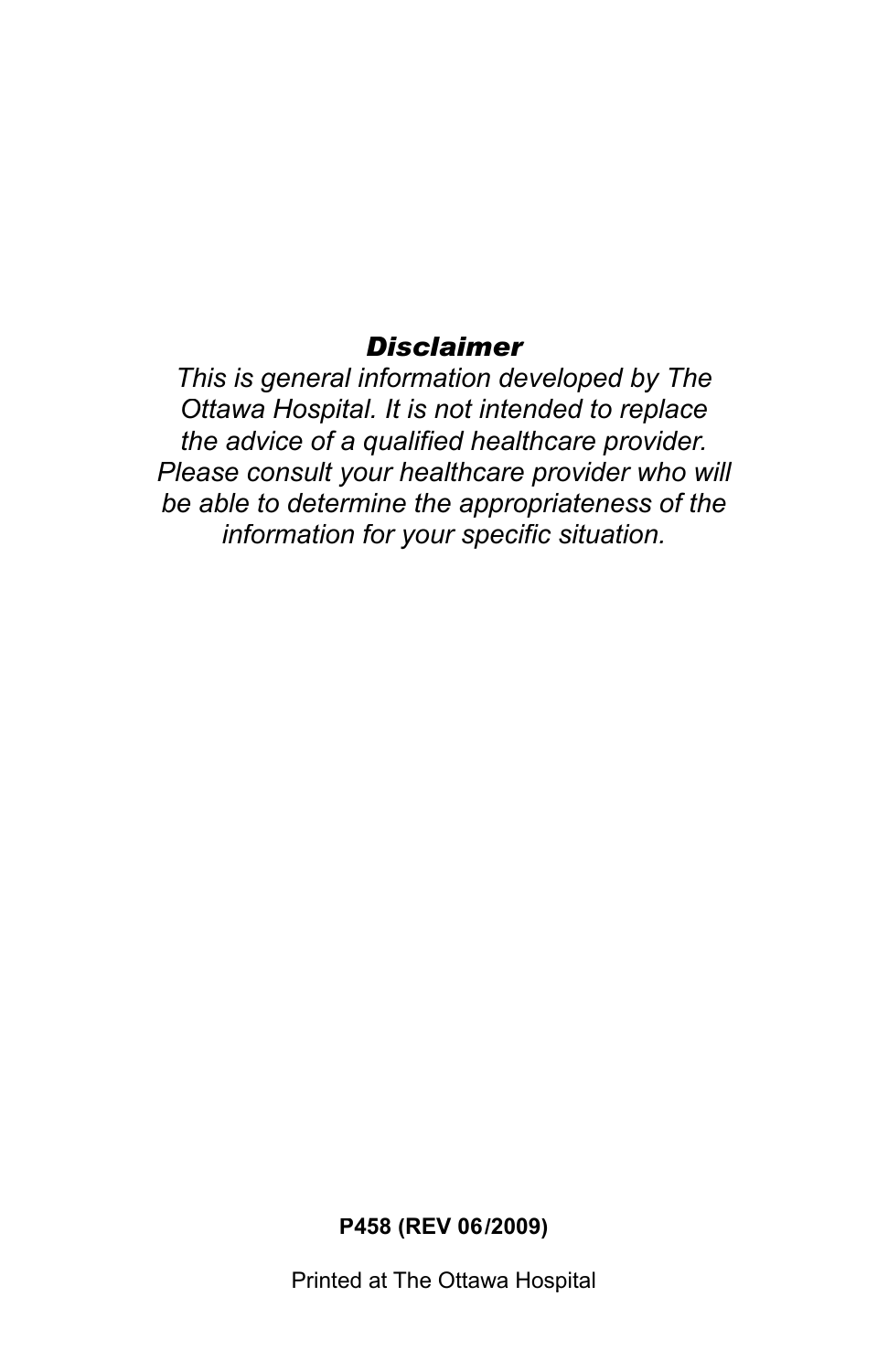#### *Disclaimer*

*This is general information developed by The Ottawa Hospital. It is not intended to replace the advice of a qualified healthcare provider. Please consult your healthcare provider who will be able to determine the appropriateness of the information for your specific situation.* 

**P458 (REV 06/2009)** 

Printed at The Ottawa Hospital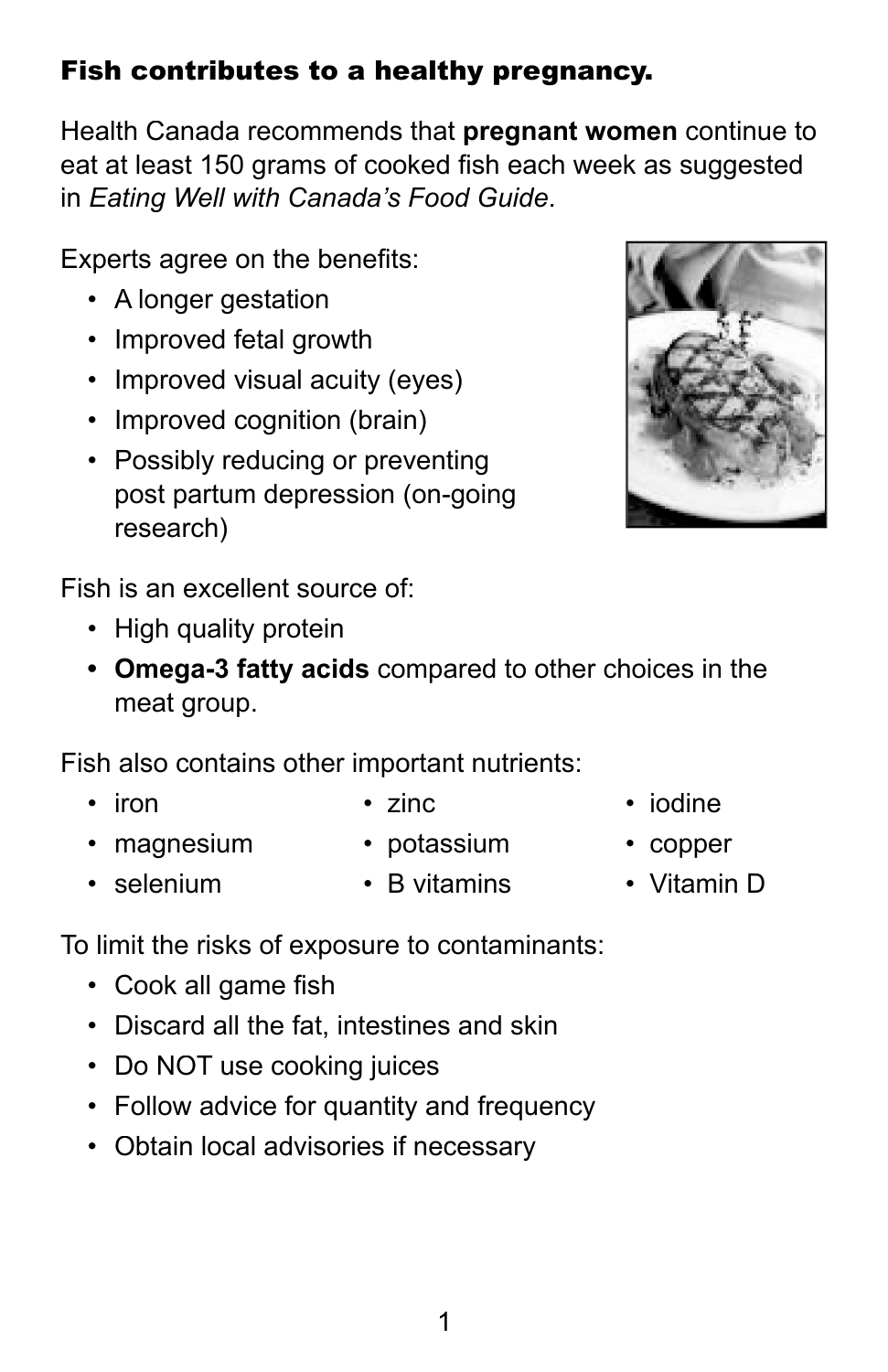### Fish contributes to a healthy pregnancy.

Health Canada recommends that **pregnant women** continue to eat at least 150 grams of cooked fish each week as suggested in *Eating Well with Canada's Food Guide*.

Experts agree on the benefits:

- A longer gestation
- Improved fetal growth
- Improved visual acuity (eyes)
- Improved cognition (brain)
- Possibly reducing or preventing post partum depression (on-going research)

Fish is an excellent source of:

- High quality protein
- **Omega-3 fatty acids** compared to other choices in the meat group.

Fish also contains other important nutrients:

- 
- magnesium potassium copper
- -
- selenium B vitamins Vitamin D
- 
- iron *zinc indine* 
	-
	-
- To limit the risks of exposure to contaminants:
	- Cook all game fish
	- Discard all the fat, intestines and skin
	- Do NOT use cooking juices
	- Follow advice for quantity and frequency
	- Obtain local advisories if necessary

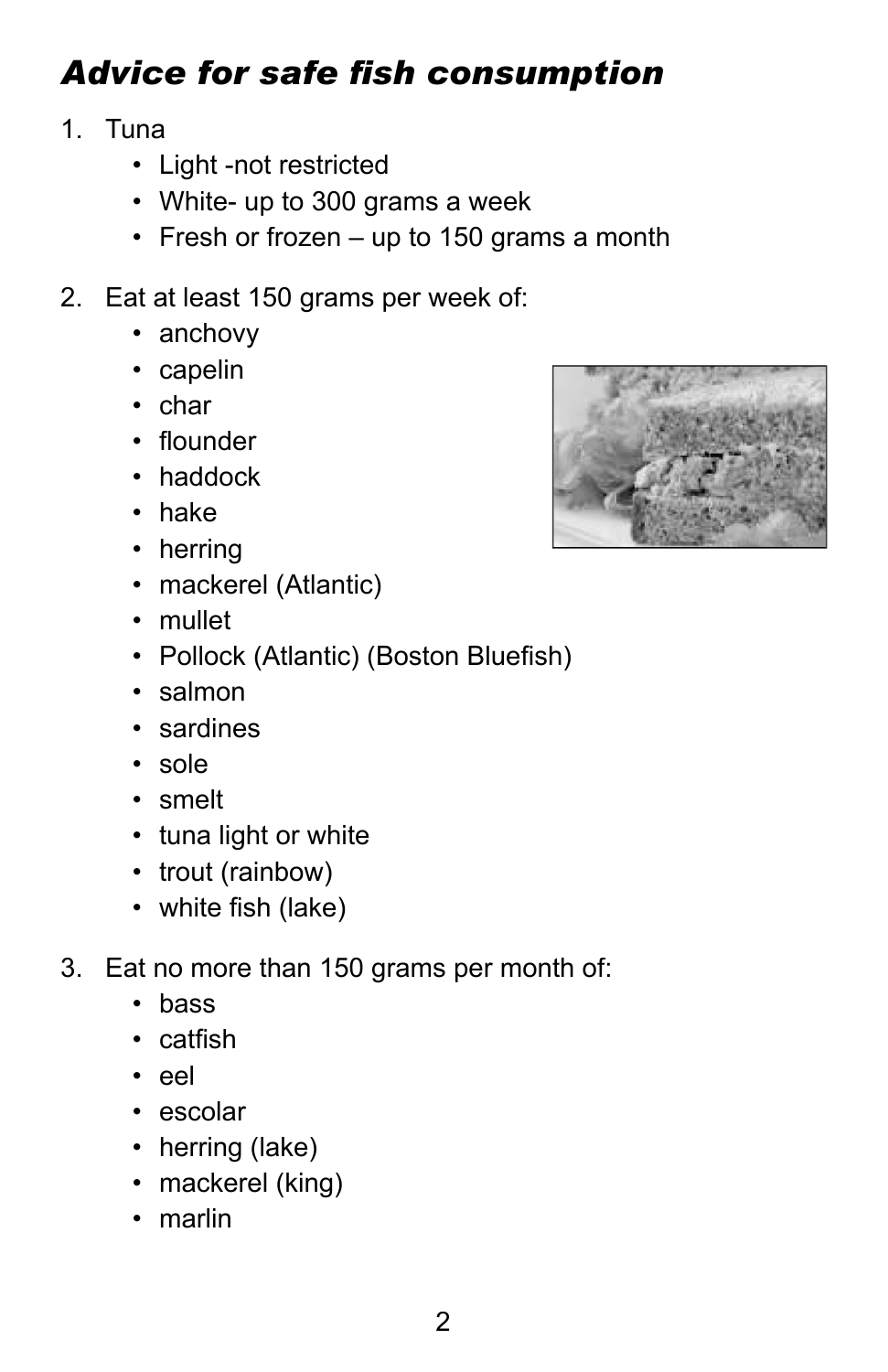### *Advice for safe fish consumption*

- 1. Tuna
	- Light -not restricted
	- White- up to 300 grams a week
	- Fresh or frozen up to 150 grams a month
- 2. Eat at least 150 grams per week of:
	- anchovy
	- capelin
	- char
	- flounder
	- haddock
	- hake
	- herring
	- mackerel (Atlantic)
	- mullet
	- Pollock (Atlantic) (Boston Bluefish)
	- salmon
	- sardines
	- sole
	- smelt
	- tuna light or white
	- trout (rainbow)
	- white fish (lake)
- 3. Eat no more than 150 grams per month of:
	- bass
	- catfish
	- eel
	- escolar
	- herring (lake)
	- mackerel (king)
	- marlin

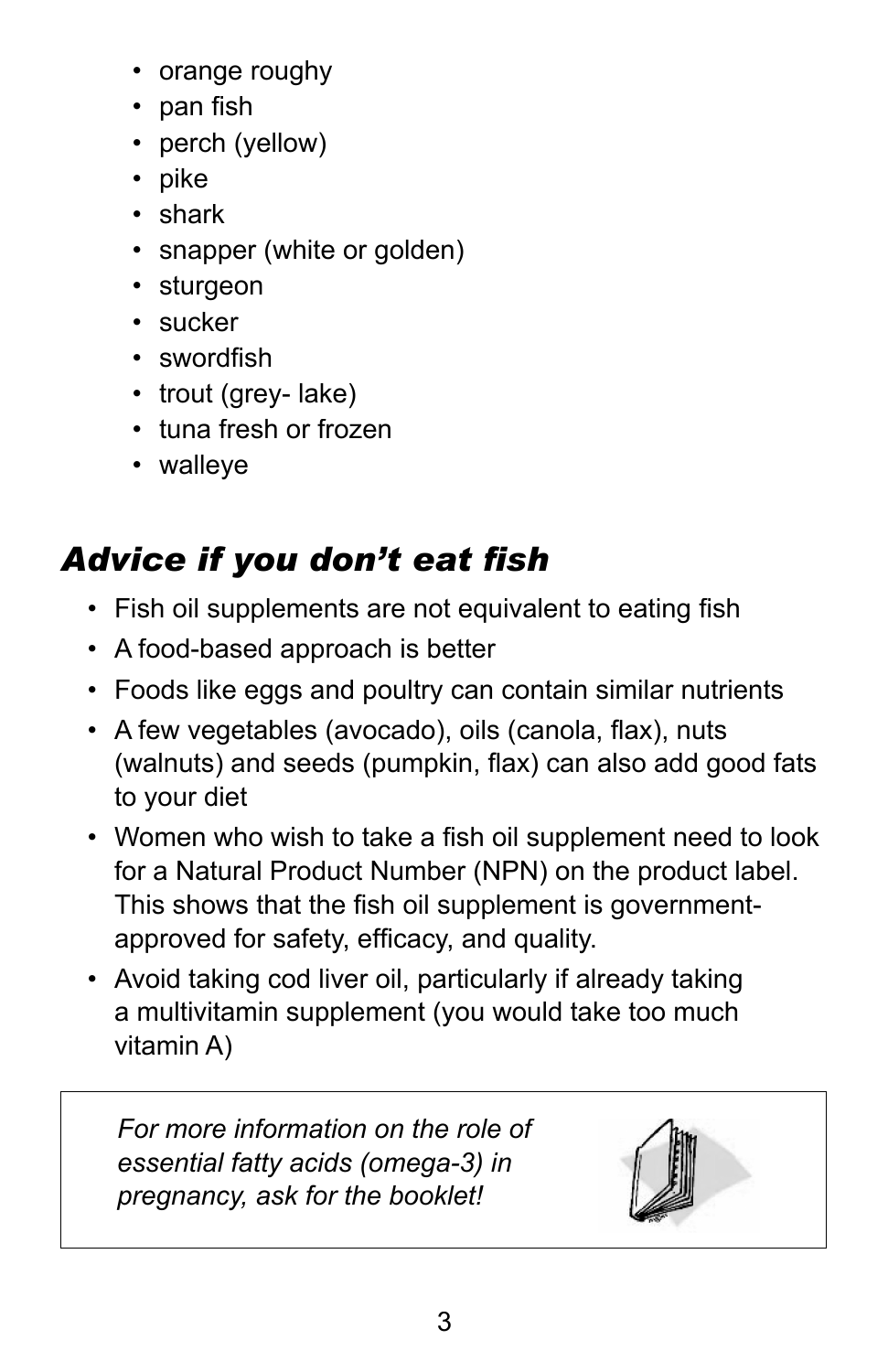- orange roughy
- pan fish
- perch (yellow)
- pike
- shark
- snapper (white or golden)
- sturgeon
- sucker
- swordfish
- trout (grey- lake)
- tuna fresh or frozen
- walleye

## *Advice if you don't eat fish*

- Fish oil supplements are not equivalent to eating fish
- A food-based approach is better
- Foods like eggs and poultry can contain similar nutrients
- A few vegetables (avocado), oils (canola, flax), nuts (walnuts) and seeds (pumpkin, flax) can also add good fats to your diet
- Women who wish to take a fish oil supplement need to look for a Natural Product Number (NPN) on the product label. This shows that the fish oil supplement is governmentapproved for safety, efficacy, and quality.
- Avoid taking cod liver oil, particularly if already taking a multivitamin supplement (you would take too much vitamin A)

 *For more information on the role of essential fatty acids (omega-3) in pregnancy, ask for the booklet!*